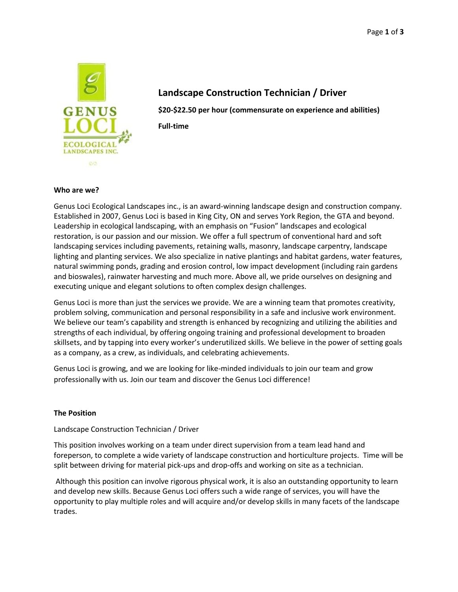

# **Landscape Construction Technician / Driver**

**\$20-\$22.50 per hour (commensurate on experience and abilities) Full-time**

#### **Who are we?**

Genus Loci Ecological Landscapes inc., is an award-winning landscape design and construction company. Established in 2007, Genus Loci is based in King City, ON and serves York Region, the GTA and beyond. Leadership in ecological landscaping, with an emphasis on "Fusion" landscapes and ecological restoration, is our passion and our mission. We offer a full spectrum of conventional hard and soft landscaping services including pavements, retaining walls, masonry, landscape carpentry, landscape lighting and planting services. We also specialize in native plantings and habitat gardens, water features, natural swimming ponds, grading and erosion control, low impact development (including rain gardens and bioswales), rainwater harvesting and much more. Above all, we pride ourselves on designing and executing unique and elegant solutions to often complex design challenges.

Genus Loci is more than just the services we provide. We are a winning team that promotes creativity, problem solving, communication and personal responsibility in a safe and inclusive work environment. We believe our team's capability and strength is enhanced by recognizing and utilizing the abilities and strengths of each individual, by offering ongoing training and professional development to broaden skillsets, and by tapping into every worker's underutilized skills. We believe in the power of setting goals as a company, as a crew, as individuals, and celebrating achievements.

Genus Loci is growing, and we are looking for like-minded individuals to join our team and grow professionally with us. Join our team and discover the Genus Loci difference!

## **The Position**

## Landscape Construction Technician / Driver

This position involves working on a team under direct supervision from a team lead hand and foreperson, to complete a wide variety of landscape construction and horticulture projects. Time will be split between driving for material pick-ups and drop-offs and working on site as a technician.

Although this position can involve rigorous physical work, it is also an outstanding opportunity to learn and develop new skills. Because Genus Loci offers such a wide range of services, you will have the opportunity to play multiple roles and will acquire and/or develop skills in many facets of the landscape trades.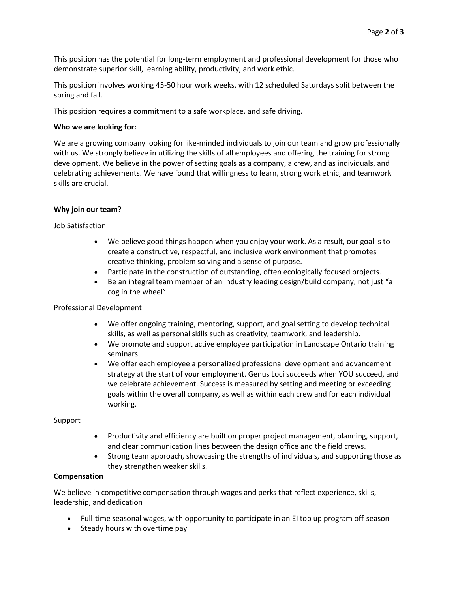This position has the potential for long-term employment and professional development for those who demonstrate superior skill, learning ability, productivity, and work ethic.

This position involves working 45-50 hour work weeks, with 12 scheduled Saturdays split between the spring and fall.

This position requires a commitment to a safe workplace, and safe driving.

#### **Who we are looking for:**

We are a growing company looking for like-minded individuals to join our team and grow professionally with us. We strongly believe in utilizing the skills of all employees and offering the training for strong development. We believe in the power of setting goals as a company, a crew, and as individuals, and celebrating achievements. We have found that willingness to learn, strong work ethic, and teamwork skills are crucial.

## **Why join our team?**

Job Satisfaction

- We believe good things happen when you enjoy your work. As a result, our goal is to create a constructive, respectful, and inclusive work environment that promotes creative thinking, problem solving and a sense of purpose.
- Participate in the construction of outstanding, often ecologically focused projects.
- Be an integral team member of an industry leading design/build company, not just "a cog in the wheel"

#### Professional Development

- We offer ongoing training, mentoring, support, and goal setting to develop technical skills, as well as personal skills such as creativity, teamwork, and leadership.
- We promote and support active employee participation in Landscape Ontario training seminars.
- We offer each employee a personalized professional development and advancement strategy at the start of your employment. Genus Loci succeeds when YOU succeed, and we celebrate achievement. Success is measured by setting and meeting or exceeding goals within the overall company, as well as within each crew and for each individual working.

#### Support

- Productivity and efficiency are built on proper project management, planning, support, and clear communication lines between the design office and the field crews.
- Strong team approach, showcasing the strengths of individuals, and supporting those as they strengthen weaker skills.

## **Compensation**

We believe in competitive compensation through wages and perks that reflect experience, skills, leadership, and dedication

- Full-time seasonal wages, with opportunity to participate in an EI top up program off-season
- Steady hours with overtime pay